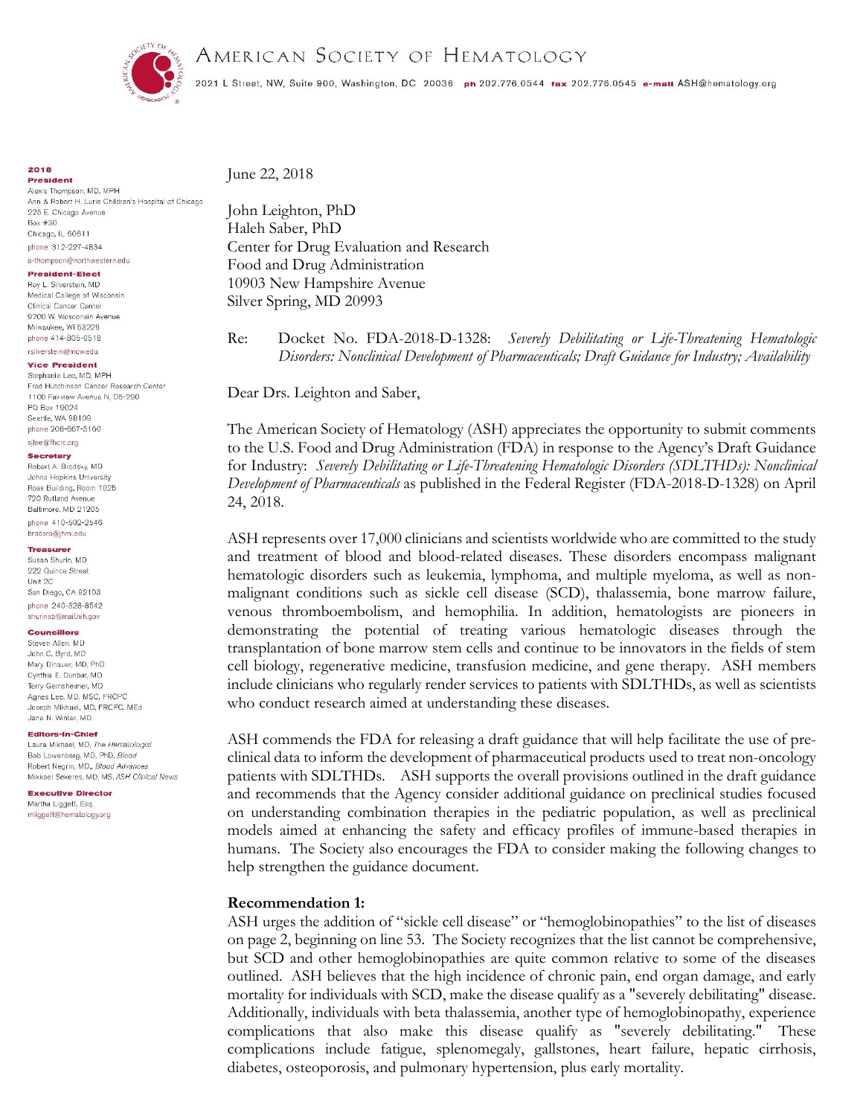

AMERICAN SOCIETY OF HEMATOLOGY

2021 L Street, NW, Suite 900, Washington, DC 20036 ph 202.776.0544 tax 202.776.0545 e-mail ASH@hematology.org

**2018** 

**President** Alexis Thompson, MD, MPH Ann & Robert H. Lurie Children's Hospital of Chicago 225 E. Chicago Avenue  $Box #30$ Chicago, IL 60611 phone 312-227-4834

### a-thompson@northwestern.edu **President-Elect**

Roy L. Silverstein, MD Medical College of Wisconsin Clinical Cancer Center 9200 W. Wosconsin Avenue Milwaukee, WI 53226 phone 414-805-0518

### rsilverstein@mcw.edu **Vice President**

Stephanie Lee, MD, MPH Fred Hutchinson Cancer Research Center 1100 Fairview Avenue N. D5-290 PO Box 19024 Seattle, WA 98109 phone 206-667-5160

### sjlee@fhcrc.org Secretary

Robert A. Brodsky, MD Johns Hopkins University Ross Building, Room 1025 720 Rutland Avenue Baltimore, MD 21205 phone 410-502-2546 brodsro@ihmi.edu

## Treasurer

Susan Shurin, MD 222 Quince Street Unit 2C San Diego, CA 92103 phone 240-328-8542 shurinsb@mail.nih.gov

## **Councillors**

Steven Allen, MD John C. Byrd, MD Mary Dinauer, MD, PhD Cynthia E. Dunbar, MD Terry Gernsheimer, MD Agnes Lee, MD, MSC, FRCPC Joseph Mikhael, MD, FRCPC, MEd Jane N. Winter, MD

## Editors-In-Chief

Laura Mikhael, MD, The Hematologist Bob Lowenberg, MD, PhD, Blood Robert Negrin, MD, Blood Advances Mikkael Sekeres, MD, MS, ASH Clinical News

**Executive Director** Martha Liggett, Esg. mliggett@hematology.org

June 22, 2018

John Leighton, PhD Haleh Saber, PhD Center for Drug Evaluation and Research Food and Drug Administration 10903 New Hampshire Avenue Silver Spring, MD 20993

Re: Docket No. FDA-2018-D-1328: *Severely Debilitating or Life-Threatening Hematologic Disorders: Nonclinical Development of Pharmaceuticals; Draft Guidance for Industry; Availability* 

Dear Drs. Leighton and Saber,

The American Society of Hematology (ASH) appreciates the opportunity to submit comments to the U.S. Food and Drug Administration (FDA) in response to the Agency's Draft Guidance for Industry: *Severely Debilitating or Life-Threatening Hematologic Disorders (SDLTHDs): Nonclinical Development of Pharmaceuticals* as published in the Federal Register (FDA-2018-D-1328) on April 24, 2018.

ASH represents over 17,000 clinicians and scientists worldwide who are committed to the study and treatment of blood and blood-related diseases. These disorders encompass malignant hematologic disorders such as leukemia, lymphoma, and multiple myeloma, as well as nonmalignant conditions such as sickle cell disease (SCD), thalassemia, bone marrow failure, venous thromboembolism, and hemophilia. In addition, hematologists are pioneers in demonstrating the potential of treating various hematologic diseases through the transplantation of bone marrow stem cells and continue to be innovators in the fields of stem cell biology, regenerative medicine, transfusion medicine, and gene therapy. ASH members include clinicians who regularly render services to patients with SDLTHDs, as well as scientists who conduct research aimed at understanding these diseases.

ASH commends the FDA for releasing a draft guidance that will help facilitate the use of preclinical data to inform the development of pharmaceutical products used to treat non-oncology patients with SDLTHDs. ASH supports the overall provisions outlined in the draft guidance and recommends that the Agency consider additional guidance on preclinical studies focused on understanding combination therapies in the pediatric population, as well as preclinical models aimed at enhancing the safety and efficacy profiles of immune-based therapies in humans. The Society also encourages the FDA to consider making the following changes to help strengthen the guidance document.

## **Recommendation 1:**

ASH urges the addition of "sickle cell disease" or "hemoglobinopathies" to the list of diseases on page 2, beginning on line 53. The Society recognizes that the list cannot be comprehensive, but SCD and other hemoglobinopathies are quite common relative to some of the diseases outlined. ASH believes that the high incidence of chronic pain, end organ damage, and early mortality for individuals with SCD, make the disease qualify as a "severely debilitating" disease. Additionally, individuals with beta thalassemia, another type of hemoglobinopathy, experience complications that also make this disease qualify as "severely debilitating." These complications include fatigue, splenomegaly, gallstones, heart failure, hepatic cirrhosis, diabetes, osteoporosis, and pulmonary hypertension, plus early mortality.